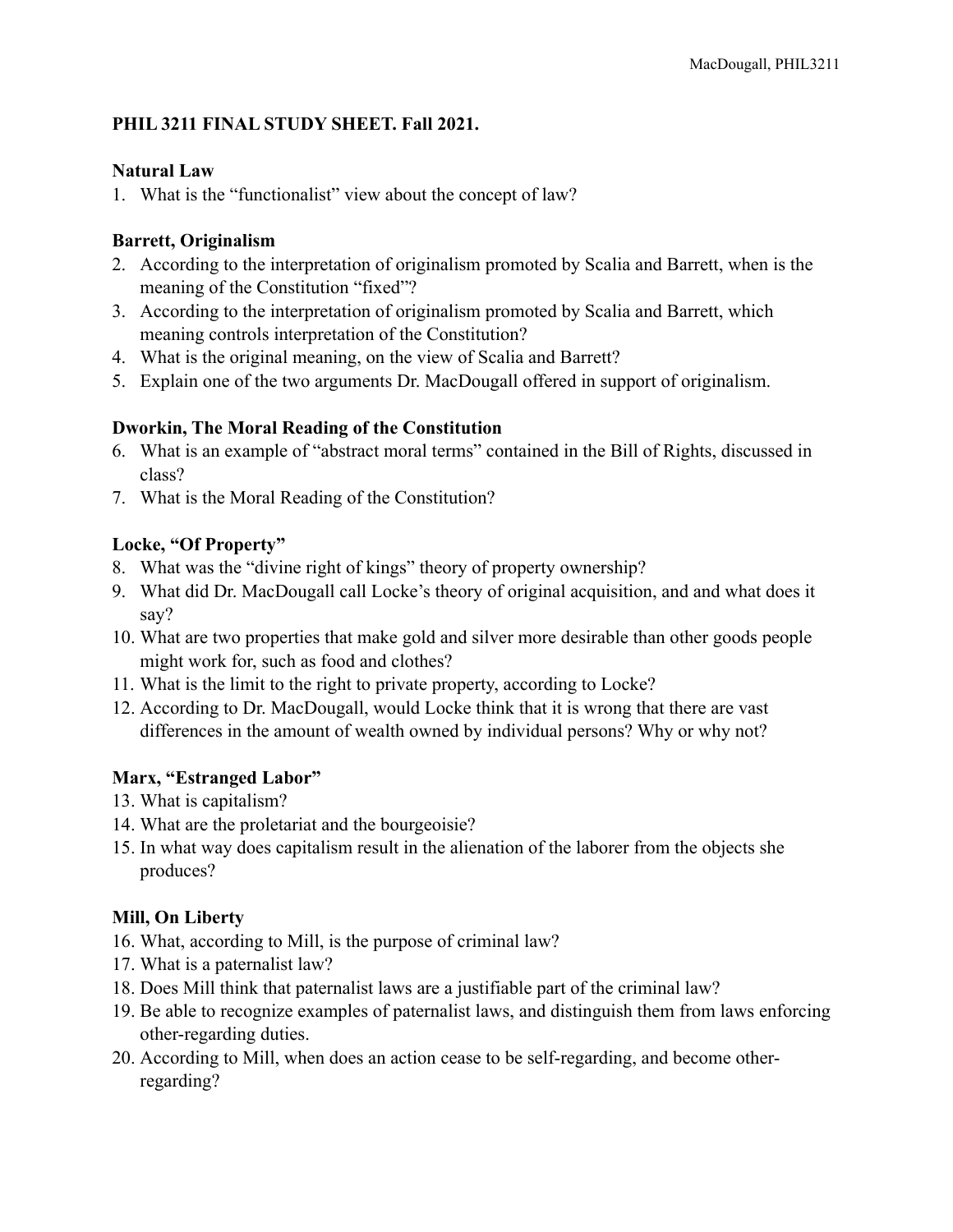# **PHIL 3211 FINAL STUDY SHEET. Fall 2021.**

### **Natural Law**

1. What is the "functionalist" view about the concept of law?

### **Barrett, Originalism**

- 2. According to the interpretation of originalism promoted by Scalia and Barrett, when is the meaning of the Constitution "fixed"?
- 3. According to the interpretation of originalism promoted by Scalia and Barrett, which meaning controls interpretation of the Constitution?
- 4. What is the original meaning, on the view of Scalia and Barrett?
- 5. Explain one of the two arguments Dr. MacDougall offered in support of originalism.

#### **Dworkin, The Moral Reading of the Constitution**

- 6. What is an example of "abstract moral terms" contained in the Bill of Rights, discussed in class?
- 7. What is the Moral Reading of the Constitution?

# **Locke, "Of Property"**

- 8. What was the "divine right of kings" theory of property ownership?
- 9. What did Dr. MacDougall call Locke's theory of original acquisition, and and what does it say?
- 10. What are two properties that make gold and silver more desirable than other goods people might work for, such as food and clothes?
- 11. What is the limit to the right to private property, according to Locke?
- 12. According to Dr. MacDougall, would Locke think that it is wrong that there are vast differences in the amount of wealth owned by individual persons? Why or why not?

# **Marx, "Estranged Labor"**

- 13. What is capitalism?
- 14. What are the proletariat and the bourgeoisie?
- 15. In what way does capitalism result in the alienation of the laborer from the objects she produces?

# **Mill, On Liberty**

- 16. What, according to Mill, is the purpose of criminal law?
- 17. What is a paternalist law?
- 18. Does Mill think that paternalist laws are a justifiable part of the criminal law?
- 19. Be able to recognize examples of paternalist laws, and distinguish them from laws enforcing other-regarding duties.
- 20. According to Mill, when does an action cease to be self-regarding, and become otherregarding?